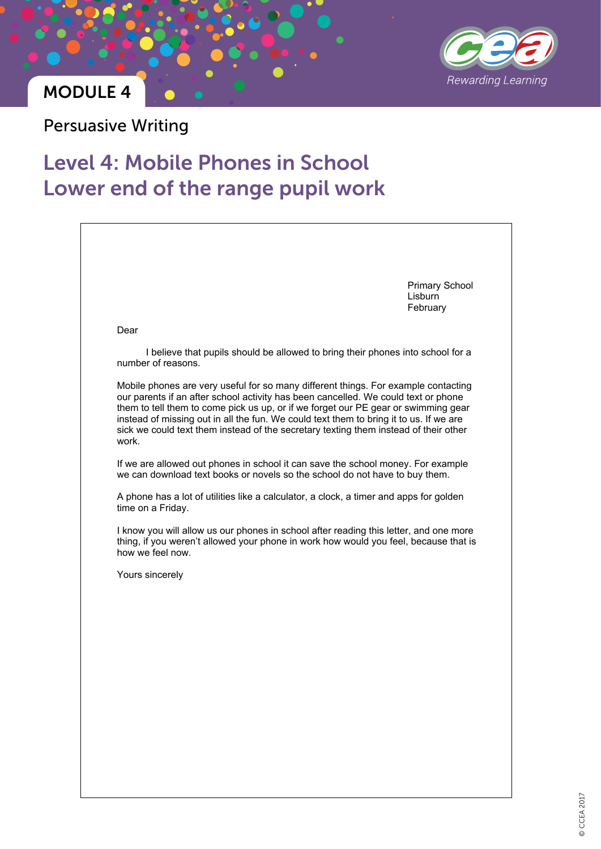

### MODULE 4

Persuasive Writing

# Level 4: Mobile Phones in School Lower end of the range pupil work

|                                                                                                                                                                                                                                                                                                                                                                                                                                                           | <b>Primary School</b><br>Lisburn<br>February |
|-----------------------------------------------------------------------------------------------------------------------------------------------------------------------------------------------------------------------------------------------------------------------------------------------------------------------------------------------------------------------------------------------------------------------------------------------------------|----------------------------------------------|
| Dear                                                                                                                                                                                                                                                                                                                                                                                                                                                      |                                              |
| I believe that pupils should be allowed to bring their phones into school for a<br>number of reasons.                                                                                                                                                                                                                                                                                                                                                     |                                              |
| Mobile phones are very useful for so many different things. For example contacting<br>our parents if an after school activity has been cancelled. We could text or phone<br>them to tell them to come pick us up, or if we forget our PE gear or swimming gear<br>instead of missing out in all the fun. We could text them to bring it to us. If we are<br>sick we could text them instead of the secretary texting them instead of their other<br>work. |                                              |
| If we are allowed out phones in school it can save the school money. For example<br>we can download text books or novels so the school do not have to buy them.                                                                                                                                                                                                                                                                                           |                                              |
| A phone has a lot of utilities like a calculator, a clock, a timer and apps for golden<br>time on a Friday.                                                                                                                                                                                                                                                                                                                                               |                                              |
| I know you will allow us our phones in school after reading this letter, and one more<br>thing, if you weren't allowed your phone in work how would you feel, because that is<br>how we feel now.                                                                                                                                                                                                                                                         |                                              |
| Yours sincerely                                                                                                                                                                                                                                                                                                                                                                                                                                           |                                              |
|                                                                                                                                                                                                                                                                                                                                                                                                                                                           |                                              |
|                                                                                                                                                                                                                                                                                                                                                                                                                                                           |                                              |
|                                                                                                                                                                                                                                                                                                                                                                                                                                                           |                                              |
|                                                                                                                                                                                                                                                                                                                                                                                                                                                           |                                              |
|                                                                                                                                                                                                                                                                                                                                                                                                                                                           |                                              |
|                                                                                                                                                                                                                                                                                                                                                                                                                                                           |                                              |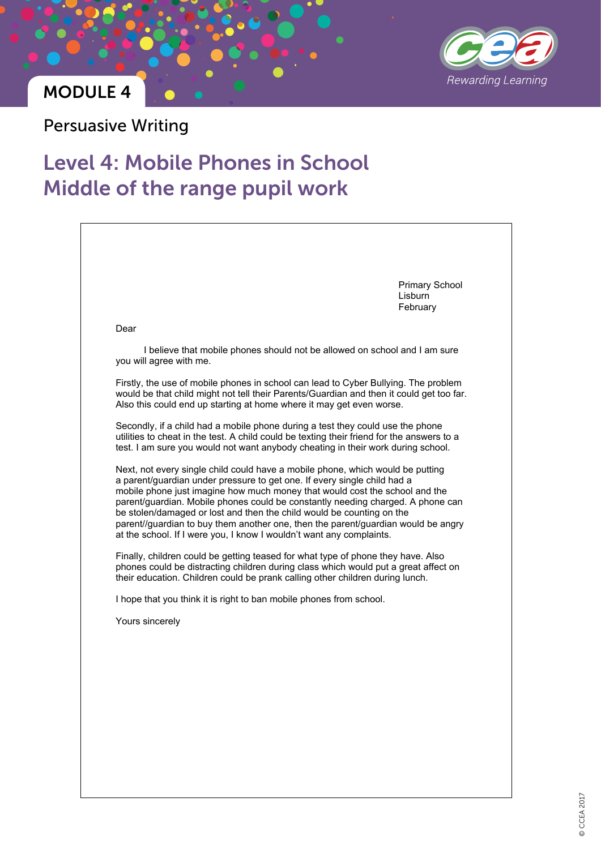

#### MODULE 4

Persuasive Writing

# Level 4: Mobile Phones in School Middle of the range pupil work